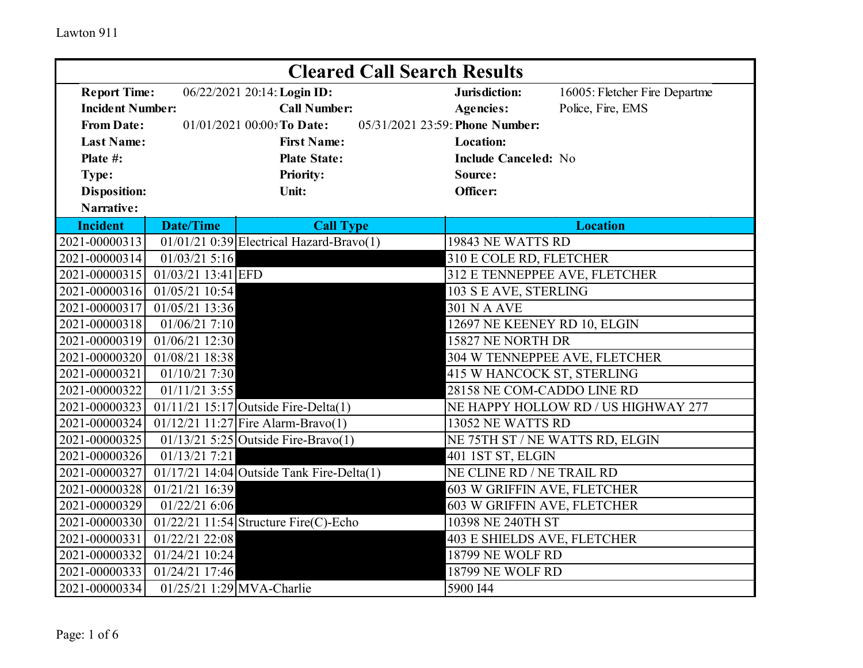| <b>Cleared Call Search Results</b>                                                 |                                                 |                                                  |                                     |                               |  |  |
|------------------------------------------------------------------------------------|-------------------------------------------------|--------------------------------------------------|-------------------------------------|-------------------------------|--|--|
| <b>Report Time:</b><br>06/22/2021 20:14: Login ID:                                 |                                                 |                                                  | Jurisdiction:                       | 16005: Fletcher Fire Departme |  |  |
| <b>Incident Number:</b>                                                            |                                                 | <b>Call Number:</b>                              | <b>Agencies:</b>                    | Police, Fire, EMS             |  |  |
| 05/31/2021 23:59: Phone Number:<br><b>From Date:</b><br>01/01/2021 00:00: To Date: |                                                 |                                                  |                                     |                               |  |  |
| <b>Last Name:</b>                                                                  |                                                 | <b>First Name:</b>                               | <b>Location:</b>                    |                               |  |  |
| Plate #:                                                                           |                                                 | <b>Plate State:</b>                              | <b>Include Canceled: No</b>         |                               |  |  |
| Type:                                                                              |                                                 | <b>Priority:</b>                                 | Source:                             |                               |  |  |
| <b>Disposition:</b>                                                                |                                                 | Unit:                                            | Officer:                            |                               |  |  |
| Narrative:                                                                         |                                                 |                                                  |                                     |                               |  |  |
| <b>Incident</b>                                                                    | <b>Date/Time</b>                                | <b>Call Type</b>                                 |                                     | <b>Location</b>               |  |  |
| 2021-00000313                                                                      |                                                 | $01/01/21$ 0:39 Electrical Hazard-Bravo(1)       | 19843 NE WATTS RD                   |                               |  |  |
| 2021-00000314                                                                      | $01/03/21$ 5:16                                 |                                                  | 310 E COLE RD, FLETCHER             |                               |  |  |
| 2021-00000315                                                                      | $01/03/21$ 13:41 EFD                            |                                                  |                                     | 312 E TENNEPPEE AVE, FLETCHER |  |  |
| 2021-00000316                                                                      | 01/05/21 10:54                                  |                                                  | 103 S E AVE, STERLING               |                               |  |  |
| 2021-00000317                                                                      | 01/05/21 13:36                                  |                                                  | <b>301 N A AVE</b>                  |                               |  |  |
| 2021-00000318                                                                      | 01/06/21 7:10                                   |                                                  |                                     | 12697 NE KEENEY RD 10, ELGIN  |  |  |
| 2021-00000319                                                                      | 01/06/21 12:30                                  |                                                  |                                     | 15827 NE NORTH DR             |  |  |
| 2021-00000320                                                                      | 01/08/21 18:38<br>304 W TENNEPPEE AVE, FLETCHER |                                                  |                                     |                               |  |  |
| 2021-00000321                                                                      | 01/10/21 7:30                                   |                                                  | 415 W HANCOCK ST, STERLING          |                               |  |  |
| 2021-00000322                                                                      | $01/11/21$ 3:55                                 |                                                  | 28158 NE COM-CADDO LINE RD          |                               |  |  |
| 2021-00000323                                                                      |                                                 | $01/11/21$ 15:17 Outside Fire-Delta(1)           | NE HAPPY HOLLOW RD / US HIGHWAY 277 |                               |  |  |
| 2021-00000324                                                                      |                                                 | 01/12/21 11:27 Fire Alarm-Bravo(1)               | 13052 NE WATTS RD                   |                               |  |  |
| 2021-00000325                                                                      |                                                 | $\overline{01/13/21}$ 5:25 Outside Fire-Bravo(1) | NE 75TH ST / NE WATTS RD, ELGIN     |                               |  |  |
| 2021-00000326                                                                      | 01/13/21 7:21                                   |                                                  | 401 IST ST, ELGIN                   |                               |  |  |
| 2021-00000327                                                                      |                                                 | $01/17/21$ 14:04 Outside Tank Fire-Delta(1)      | NE CLINE RD / NE TRAIL RD           |                               |  |  |
| 2021-00000328                                                                      | 01/21/21 16:39                                  |                                                  | 603 W GRIFFIN AVE, FLETCHER         |                               |  |  |
| 2021-00000329                                                                      | 01/22/21 6:06                                   |                                                  | 603 W GRIFFIN AVE, FLETCHER         |                               |  |  |
| 2021-00000330                                                                      |                                                 | 01/22/21 11:54 Structure Fire(C)-Echo            | 10398 NE 240TH ST                   |                               |  |  |
| 2021-00000331                                                                      | 01/22/21 22:08                                  |                                                  | 403 E SHIELDS AVE, FLETCHER         |                               |  |  |
| 2021-00000332                                                                      | 01/24/21 10:24                                  |                                                  | 18799 NE WOLF RD                    |                               |  |  |
| 2021-00000333                                                                      | 01/24/21 17:46                                  |                                                  | 18799 NE WOLF RD                    |                               |  |  |
| 2021-00000334                                                                      |                                                 | 01/25/21 1:29 MVA-Charlie                        | 5900 I44                            |                               |  |  |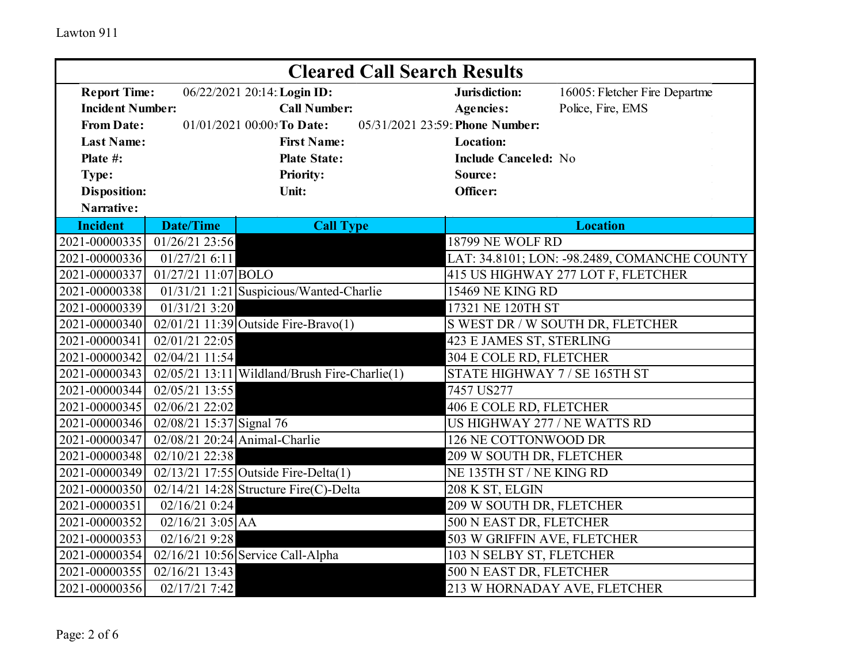| <b>Cleared Call Search Results</b>              |                          |                                                                  |                                    |                                              |
|-------------------------------------------------|--------------------------|------------------------------------------------------------------|------------------------------------|----------------------------------------------|
| <b>Report Time:</b>                             |                          | 06/22/2021 20:14: Login ID:                                      | Jurisdiction:                      | 16005: Fletcher Fire Departme                |
| <b>Incident Number:</b>                         |                          | <b>Call Number:</b>                                              | <b>Agencies:</b>                   | Police, Fire, EMS                            |
| <b>From Date:</b><br>01/01/2021 00:00: To Date: |                          |                                                                  | 05/31/2021 23:59: Phone Number:    |                                              |
| <b>Last Name:</b>                               |                          | <b>First Name:</b>                                               | <b>Location:</b>                   |                                              |
| Plate #:                                        |                          | <b>Plate State:</b>                                              | <b>Include Canceled: No</b>        |                                              |
| Type:                                           |                          | <b>Priority:</b>                                                 | Source:                            |                                              |
| <b>Disposition:</b>                             |                          | Unit:                                                            | Officer:                           |                                              |
| Narrative:                                      |                          |                                                                  |                                    |                                              |
| <b>Incident</b>                                 | <b>Date/Time</b>         | <b>Call Type</b>                                                 |                                    | <b>Location</b>                              |
| 2021-00000335                                   | 01/26/21 23:56           |                                                                  | <b>18799 NE WOLF RD</b>            |                                              |
| 2021-00000336                                   | 01/27/216:11             |                                                                  |                                    | LAT: 34.8101; LON: -98.2489, COMANCHE COUNTY |
| 2021-00000337                                   | 01/27/21 11:07 BOLO      |                                                                  | 415 US HIGHWAY 277 LOT F, FLETCHER |                                              |
| 2021-00000338                                   |                          | 01/31/21 1:21 Suspicious/Wanted-Charlie                          | <b>15469 NE KING RD</b>            |                                              |
| 2021-00000339                                   | 01/31/213:20             |                                                                  | 17321 NE 120TH ST                  |                                              |
| 2021-00000340                                   |                          | $02/01/21$ 11:39 Outside Fire-Bravo(1)                           | S WEST DR / W SOUTH DR, FLETCHER   |                                              |
| 2021-00000341                                   | 02/01/21 22:05           |                                                                  | 423 E JAMES ST, STERLING           |                                              |
| 2021-00000342                                   | 02/04/21 11:54           |                                                                  | 304 E COLE RD, FLETCHER            |                                              |
| 2021-00000343                                   |                          | $02/05/21$ 13:11 Wildland/Brush Fire-Charlie(1)                  | STATE HIGHWAY 7 / SE 165TH ST      |                                              |
| 2021-00000344                                   | 02/05/21 13:55           |                                                                  | 7457 US277                         |                                              |
| 2021-00000345                                   | 02/06/21 22:02           |                                                                  | 406 E COLE RD, FLETCHER            |                                              |
| 2021-00000346                                   | 02/08/21 15:37 Signal 76 |                                                                  | US HIGHWAY 277 / NE WATTS RD       |                                              |
| 2021-00000347                                   |                          | $02/08/21$ 20:24 Animal-Charlie                                  | 126 NE COTTONWOOD DR               |                                              |
| 2021-00000348                                   | 02/10/21 22:38           |                                                                  | 209 W SOUTH DR, FLETCHER           |                                              |
| 2021-00000349                                   |                          | 02/13/21 17:55 Outside Fire-Delta(1)<br>NE 135TH ST / NE KING RD |                                    |                                              |
| 2021-00000350                                   |                          | 02/14/21 14:28 Structure Fire(C)-Delta                           | 208 K ST, ELGIN                    |                                              |
| 2021-00000351                                   | 02/16/21 0:24            |                                                                  | 209 W SOUTH DR, FLETCHER           |                                              |
| 2021-00000352                                   | $02/16/21$ 3:05 AA       |                                                                  | 500 N EAST DR, FLETCHER            |                                              |
| 2021-00000353                                   | 02/16/21 9:28            |                                                                  | 503 W GRIFFIN AVE, FLETCHER        |                                              |
| 2021-00000354                                   |                          | $02/16/21$ 10:56 Service Call-Alpha                              | 103 N SELBY ST, FLETCHER           |                                              |
| 2021-00000355                                   | 02/16/21 13:43           |                                                                  | 500 N EAST DR, FLETCHER            |                                              |
| 2021-00000356                                   | 02/17/21 7:42            |                                                                  |                                    | 213 W HORNADAY AVE, FLETCHER                 |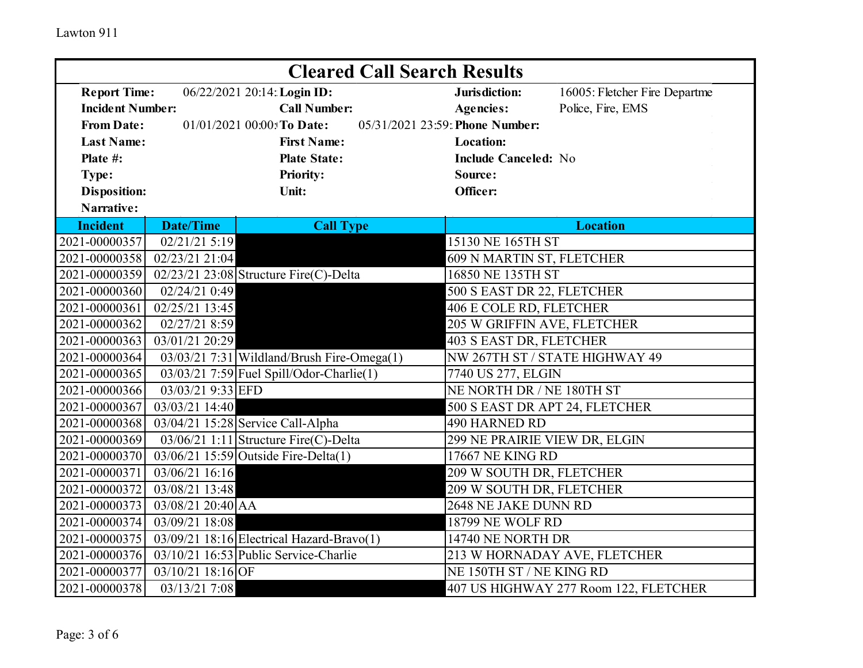| <b>Cleared Call Search Results</b>                                                 |                                                       |                                                 |                                |                                       |  |  |
|------------------------------------------------------------------------------------|-------------------------------------------------------|-------------------------------------------------|--------------------------------|---------------------------------------|--|--|
| <b>Report Time:</b><br>06/22/2021 20:14: Login ID:                                 |                                                       | Jurisdiction:                                   | 16005: Fletcher Fire Departme  |                                       |  |  |
| <b>Incident Number:</b>                                                            |                                                       | <b>Call Number:</b>                             | <b>Agencies:</b>               | Police, Fire, EMS                     |  |  |
| 05/31/2021 23:59: Phone Number:<br><b>From Date:</b><br>01/01/2021 00:00: To Date: |                                                       |                                                 |                                |                                       |  |  |
| <b>Last Name:</b>                                                                  |                                                       | <b>First Name:</b>                              | <b>Location:</b>               |                                       |  |  |
| Plate #:                                                                           |                                                       | <b>Plate State:</b>                             | <b>Include Canceled: No</b>    |                                       |  |  |
| Type:                                                                              |                                                       | <b>Priority:</b>                                | Source:                        |                                       |  |  |
| <b>Disposition:</b>                                                                |                                                       | Unit:                                           | Officer:                       |                                       |  |  |
| Narrative:                                                                         |                                                       |                                                 |                                |                                       |  |  |
| <b>Incident</b>                                                                    | <b>Date/Time</b>                                      | <b>Call Type</b>                                |                                | <b>Location</b>                       |  |  |
| 2021-00000357                                                                      | 02/21/21 5:19                                         |                                                 | 15130 NE 165TH ST              |                                       |  |  |
| 2021-00000358                                                                      | 02/23/21 21:04                                        |                                                 | 609 N MARTIN ST, FLETCHER      |                                       |  |  |
| 2021-00000359                                                                      |                                                       | $02/23/21$ 23:08 Structure Fire(C)-Delta        | 16850 NE 135TH ST              |                                       |  |  |
| 2021-00000360                                                                      | 02/24/21 0:49                                         |                                                 | 500 S EAST DR 22, FLETCHER     |                                       |  |  |
| 2021-00000361                                                                      | 02/25/21 13:45                                        |                                                 | 406 E COLE RD, FLETCHER        |                                       |  |  |
| 2021-00000362                                                                      | 02/27/21 8:59                                         |                                                 | 205 W GRIFFIN AVE, FLETCHER    |                                       |  |  |
| 2021-00000363                                                                      | 03/01/21 20:29                                        |                                                 | 403 S EAST DR, FLETCHER        |                                       |  |  |
| 2021-00000364                                                                      |                                                       | $03/03/21$ 7:31 Wildland/Brush Fire-Omega $(1)$ |                                | NW 267TH ST / STATE HIGHWAY 49        |  |  |
| 2021-00000365                                                                      | $\overline{03/03/21}$ 7:59 Fuel Spill/Odor-Charlie(1) |                                                 | 7740 US 277, ELGIN             |                                       |  |  |
| 2021-00000366                                                                      | 03/03/21 9:33 EFD<br>NE NORTH DR / NE 180TH ST        |                                                 |                                |                                       |  |  |
| 2021-00000367                                                                      | 03/03/21 14:40                                        |                                                 | 500 S EAST DR APT 24, FLETCHER |                                       |  |  |
| 2021-00000368                                                                      |                                                       | 03/04/21 15:28 Service Call-Alpha               | 490 HARNED RD                  |                                       |  |  |
| 2021-00000369                                                                      |                                                       | 03/06/21 1:11 Structure Fire(C)-Delta           | 299 NE PRAIRIE VIEW DR, ELGIN  |                                       |  |  |
| 2021-00000370                                                                      |                                                       | $03/06/21$ 15:59 Outside Fire-Delta(1)          | <b>17667 NE KING RD</b>        |                                       |  |  |
| 2021-00000371                                                                      | 03/06/21 16:16                                        |                                                 | 209 W SOUTH DR, FLETCHER       |                                       |  |  |
| 2021-00000372                                                                      | 03/08/21 13:48                                        |                                                 | 209 W SOUTH DR, FLETCHER       |                                       |  |  |
| 2021-00000373                                                                      | 03/08/21 20:40 AA                                     |                                                 | 2648 NE JAKE DUNN RD           |                                       |  |  |
| 2021-00000374                                                                      | 03/09/21 18:08                                        |                                                 | <b>18799 NE WOLF RD</b>        |                                       |  |  |
| 2021-00000375                                                                      |                                                       | $03/09/21$ 18:16 Electrical Hazard-Bravo(1)     | 14740 NE NORTH DR              |                                       |  |  |
| 2021-00000376                                                                      |                                                       | $03/10/21$ 16:53 Public Service-Charlie         | 213 W HORNADAY AVE, FLETCHER   |                                       |  |  |
| 2021-00000377                                                                      | 03/10/21 18:16 OF                                     |                                                 | NE 150TH ST / NE KING RD       |                                       |  |  |
| 2021-00000378                                                                      | 03/13/21 7:08                                         |                                                 |                                | 407 US HIGHWAY 277 Room 122, FLETCHER |  |  |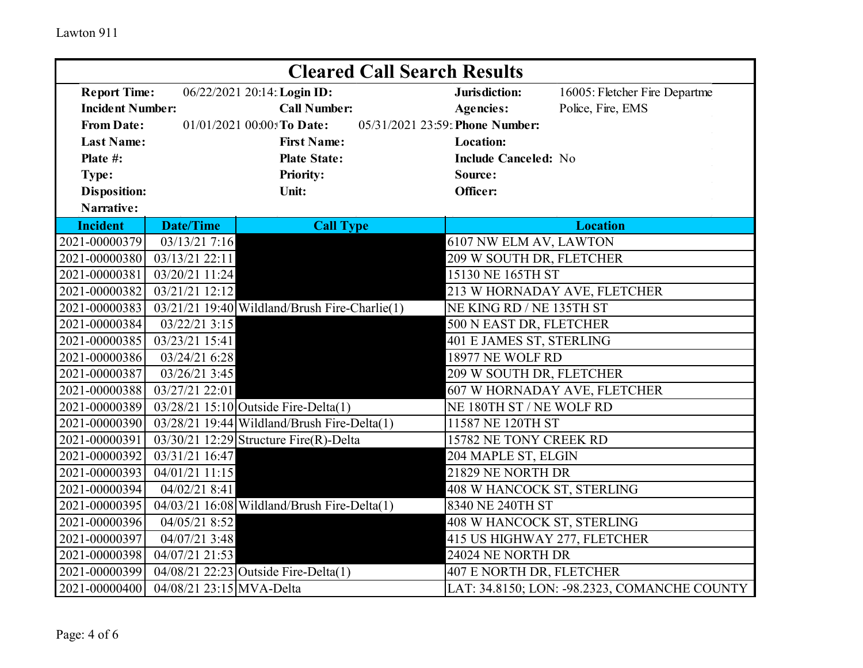| <b>Cleared Call Search Results</b>                                                 |                          |                                                    |                               |                                              |  |
|------------------------------------------------------------------------------------|--------------------------|----------------------------------------------------|-------------------------------|----------------------------------------------|--|
| <b>Report Time:</b><br>06/22/2021 20:14: Login ID:                                 |                          | Jurisdiction:                                      | 16005: Fletcher Fire Departme |                                              |  |
| <b>Incident Number:</b>                                                            |                          | <b>Call Number:</b>                                | <b>Agencies:</b>              | Police, Fire, EMS                            |  |
| 05/31/2021 23:59: Phone Number:<br><b>From Date:</b><br>01/01/2021 00:00: To Date: |                          |                                                    |                               |                                              |  |
| <b>Last Name:</b>                                                                  |                          | <b>First Name:</b>                                 | <b>Location:</b>              |                                              |  |
| Plate #:                                                                           |                          | <b>Plate State:</b>                                | <b>Include Canceled: No</b>   |                                              |  |
| Type:                                                                              |                          | <b>Priority:</b>                                   | Source:                       |                                              |  |
| <b>Disposition:</b>                                                                |                          | Unit:                                              | Officer:                      |                                              |  |
| Narrative:                                                                         |                          |                                                    |                               |                                              |  |
| <b>Incident</b>                                                                    | <b>Date/Time</b>         | <b>Call Type</b>                                   |                               | <b>Location</b>                              |  |
| 2021-00000379                                                                      | 03/13/21 7:16            |                                                    | 6107 NW ELM AV, LAWTON        |                                              |  |
| 2021-00000380                                                                      | 03/13/21 22:11           |                                                    | 209 W SOUTH DR, FLETCHER      |                                              |  |
| 2021-00000381                                                                      | 03/20/21 11:24           |                                                    | 15130 NE 165TH ST             |                                              |  |
| 2021-00000382                                                                      | $03/21/21$ 12:12         |                                                    | 213 W HORNADAY AVE, FLETCHER  |                                              |  |
| 2021-00000383                                                                      |                          | $03/21/21$ 19:40 Wildland/Brush Fire-Charlie(1)    | NE KING RD / NE 135TH ST      |                                              |  |
| 2021-00000384                                                                      | 03/22/21 3:15            |                                                    | 500 N EAST DR, FLETCHER       |                                              |  |
| 2021-00000385                                                                      | 03/23/21 15:41           |                                                    | 401 E JAMES ST, STERLING      |                                              |  |
| 2021-00000386                                                                      | 03/24/21 6:28            |                                                    | 18977 NE WOLF RD              |                                              |  |
| 2021-00000387                                                                      | 03/26/21 3:45            |                                                    | 209 W SOUTH DR, FLETCHER      |                                              |  |
| 2021-00000388                                                                      | 03/27/21 22:01           |                                                    | 607 W HORNADAY AVE, FLETCHER  |                                              |  |
| 2021-00000389                                                                      |                          | $03/28/21$ 15:10 Outside Fire-Delta(1)             | NE 180TH ST / NE WOLF RD      |                                              |  |
| 2021-00000390                                                                      |                          | 03/28/21 19:44 Wildland/Brush Fire-Delta(1)        | 11587 NE 120TH ST             |                                              |  |
| 2021-00000391                                                                      |                          | $\overline{03/30/2112:29}$ Structure Fire(R)-Delta | 15782 NE TONY CREEK RD        |                                              |  |
| 2021-00000392                                                                      | 03/31/21 16:47           |                                                    | 204 MAPLE ST, ELGIN           |                                              |  |
| 2021-00000393                                                                      | 04/01/21 11:15           |                                                    | 21829 NE NORTH DR             |                                              |  |
| 2021-00000394                                                                      | 04/02/21 8:41            |                                                    | 408 W HANCOCK ST, STERLING    |                                              |  |
| 2021-00000395                                                                      |                          | $04/03/21$ 16:08 Wildland/Brush Fire-Delta(1)      | 8340 NE 240TH ST              |                                              |  |
| 2021-00000396                                                                      | 04/05/21 8:52            |                                                    | 408 W HANCOCK ST, STERLING    |                                              |  |
| 2021-00000397                                                                      | 04/07/21 3:48            |                                                    |                               | 415 US HIGHWAY 277, FLETCHER                 |  |
| 2021-00000398                                                                      | 04/07/21 21:53           |                                                    | 24024 NE NORTH DR             |                                              |  |
| 2021-00000399                                                                      |                          | 04/08/21 22:23 Outside Fire-Delta(1)               | 407 E NORTH DR, FLETCHER      |                                              |  |
| 2021-00000400                                                                      | 04/08/21 23:15 MVA-Delta |                                                    |                               | LAT: 34.8150; LON: -98.2323, COMANCHE COUNTY |  |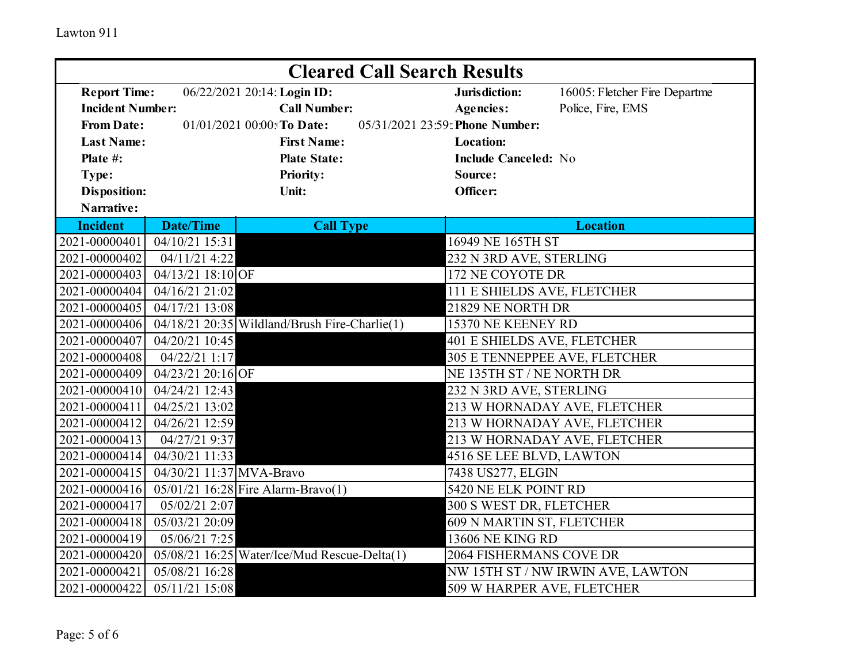| <b>Cleared Call Search Results</b> |                            |                                                   |  |                                   |                               |  |
|------------------------------------|----------------------------|---------------------------------------------------|--|-----------------------------------|-------------------------------|--|
| <b>Report Time:</b>                |                            | 06/22/2021 20:14: Login ID:                       |  | Jurisdiction:                     | 16005: Fletcher Fire Departme |  |
| <b>Incident Number:</b>            |                            | <b>Call Number:</b>                               |  | <b>Agencies:</b>                  | Police, Fire, EMS             |  |
| <b>From Date:</b>                  |                            | 01/01/2021 00:00: To Date:                        |  | 05/31/2021 23:59: Phone Number:   |                               |  |
| <b>Last Name:</b>                  |                            | <b>First Name:</b>                                |  | <b>Location:</b>                  |                               |  |
| Plate #:                           |                            | <b>Plate State:</b>                               |  | <b>Include Canceled: No</b>       |                               |  |
| Type:                              |                            | <b>Priority:</b>                                  |  | Source:                           |                               |  |
| <b>Disposition:</b>                |                            | Unit:                                             |  | Officer:                          |                               |  |
| Narrative:                         |                            |                                                   |  |                                   |                               |  |
| <b>Incident</b>                    | <b>Date/Time</b>           | <b>Call Type</b>                                  |  |                                   | <b>Location</b>               |  |
| 2021-00000401                      | 04/10/21 15:31             |                                                   |  | 16949 NE 165TH ST                 |                               |  |
| 2021-00000402                      | 04/11/21 4:22              |                                                   |  | 232 N 3RD AVE, STERLING           |                               |  |
| 2021-00000403                      | $04/13/21$ 18:10 OF        |                                                   |  | 172 NE COYOTE DR                  |                               |  |
| 2021-00000404                      | 04/16/21 21:02             |                                                   |  | 111 E SHIELDS AVE, FLETCHER       |                               |  |
| 2021-00000405                      | 04/17/21 13:08             |                                                   |  | 21829 NE NORTH DR                 |                               |  |
| 2021-00000406                      |                            | 04/18/21 20:35 Wildland/Brush Fire-Charlie(1)     |  | 15370 NE KEENEY RD                |                               |  |
| 2021-00000407                      | 04/20/21 10:45             |                                                   |  | 401 E SHIELDS AVE, FLETCHER       |                               |  |
| 2021-00000408                      | 04/22/21 1:17              |                                                   |  | 305 E TENNEPPEE AVE, FLETCHER     |                               |  |
| 2021-00000409                      | 04/23/21 20:16 OF          |                                                   |  | NE 135TH ST / NE NORTH DR         |                               |  |
| 2021-00000410                      | 04/24/21 12:43             |                                                   |  | 232 N 3RD AVE, STERLING           |                               |  |
| 2021-00000411                      | 04/25/21 13:02             |                                                   |  | 213 W HORNADAY AVE, FLETCHER      |                               |  |
| 2021-00000412                      | 04/26/21 12:59             |                                                   |  |                                   | 213 W HORNADAY AVE, FLETCHER  |  |
| 2021-00000413                      | 04/27/21 9:37              |                                                   |  | 213 W HORNADAY AVE, FLETCHER      |                               |  |
| 2021-00000414                      | 04/30/21 11:33             |                                                   |  | 4516 SE LEE BLVD, LAWTON          |                               |  |
| 2021-00000415                      | 04/30/21 11:37 MVA-Bravo   |                                                   |  | 7438 US277, ELGIN                 |                               |  |
| 2021-00000416                      |                            | 05/01/21 16:28 Fire Alarm-Bravo(1)                |  | 5420 NE ELK POINT RD              |                               |  |
| 2021-00000417                      | 05/02/21 2:07              |                                                   |  | 300 S WEST DR, FLETCHER           |                               |  |
| 2021-00000418                      | $\overline{05}/03/2120:09$ |                                                   |  | 609 N MARTIN ST, FLETCHER         |                               |  |
| 2021-00000419                      | 05/06/21 7:25              |                                                   |  | <b>13606 NE KING RD</b>           |                               |  |
| 2021-00000420                      |                            | $05/08/21$ 16:25 Water/Ice/Mud Rescue-Delta $(1)$ |  | 2064 FISHERMANS COVE DR           |                               |  |
| 2021-00000421                      | 05/08/21 16:28             |                                                   |  | NW 15TH ST / NW IRWIN AVE, LAWTON |                               |  |
| 2021-00000422                      | 05/11/21 15:08             |                                                   |  | 509 W HARPER AVE, FLETCHER        |                               |  |